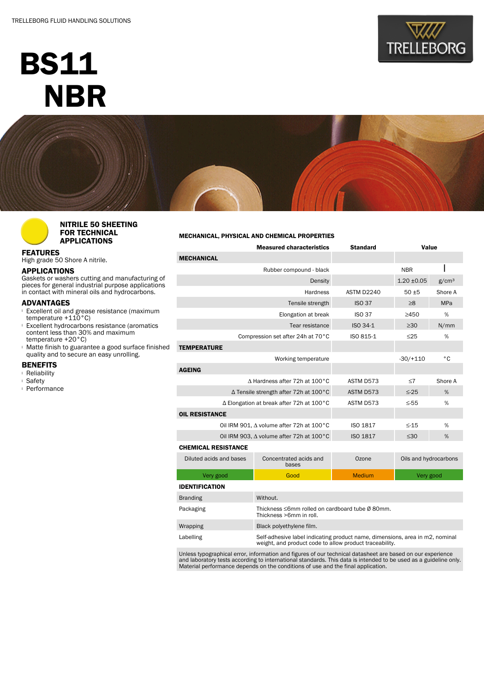# BS11 **NBR**







# NITRILE 50 SHEETING FOR TECHNICAL APPLICATIONS

FEATURES

High grade 50 Shore A nitrile.

### APPLICATIONS

Gaskets or washers cutting and manufacturing of pieces for general industrial purpose applications in contact with mineral oils and hydrocarbons.

## ADVANTAGES

- **Excellent oil and grease resistance (maximum** temperature +110°C)
- <sup>l</sup> Excellent hydrocarbons resistance (aromatics content less than 30% and maximum temperature +20°C)
- **Matte finish to guarantee a good surface finished** quality and to secure an easy unrolling.

#### **BENEFITS**

- <sup>l</sup> Reliability
- <sup>l</sup> Safety
- <sup>l</sup> Performance

## MECHANICAL, PHYSICAL AND CHEMICAL PROPERTIES

| <b>Measured characteristics</b>          |                                                                              | <b>Standard</b> | Value                 |   |  |  |
|------------------------------------------|------------------------------------------------------------------------------|-----------------|-----------------------|---|--|--|
| <b>MECHANICAL</b>                        |                                                                              |                 |                       |   |  |  |
| Rubber compound - black                  |                                                                              |                 | <b>NBR</b>            |   |  |  |
|                                          |                                                                              | $1.20 \pm 0.05$ | g/cm <sup>3</sup>     |   |  |  |
|                                          | ASTM D2240                                                                   | $50 + 5$        | Shore A               |   |  |  |
|                                          | <b>ISO 37</b>                                                                | $\geq 8$        | <b>MPa</b>            |   |  |  |
|                                          | <b>ISO 37</b>                                                                | >450            | %                     |   |  |  |
|                                          | ISO 34-1                                                                     | $\geq 30$       | N/mm                  |   |  |  |
|                                          | Compression set after 24h at 70°C                                            | ISO 815-1       | $\leq$ 25             | % |  |  |
| <b>TEMPERATURE</b>                       |                                                                              |                 |                       |   |  |  |
|                                          |                                                                              | $-30/+110$      | °C                    |   |  |  |
| <b>AGEING</b>                            |                                                                              |                 |                       |   |  |  |
| A Hardness after 72h at 100°C            | ASTM D573                                                                    | $\leq 7$        | Shore A               |   |  |  |
| ∆ Tensile strength after 72h at 100°C    | ASTM D573                                                                    | $\leq$ -25      | %                     |   |  |  |
| ∆ Elongation at break after 72h at 100°C | ASTM D573                                                                    | $\leq$ -55      | %                     |   |  |  |
| <b>OIL RESISTANCE</b>                    |                                                                              |                 |                       |   |  |  |
| Oil IRM 901, ∆ volume after 72h at 100°C | ISO 1817                                                                     | $\leq -15$      | %                     |   |  |  |
| Oil IRM 903, ∆ volume after 72h at 100°C | <b>ISO 1817</b>                                                              | $\leq 30$       | %                     |   |  |  |
| <b>CHEMICAL RESISTANCE</b>               |                                                                              |                 |                       |   |  |  |
| Diluted acids and bases                  | Concentrated acids and<br>bases                                              | Ozone           | Oils and hydrocarbons |   |  |  |
| Very good                                | Good                                                                         | <b>Medium</b>   | Very good             |   |  |  |
| <b>IDENTIFICATION</b>                    |                                                                              |                 |                       |   |  |  |
| <b>Branding</b>                          | Without.                                                                     |                 |                       |   |  |  |
| Packaging                                | Thickness ≤6mm rolled on cardboard tube Ø 80mm.<br>Thickness >6mm in roll.   |                 |                       |   |  |  |
| Wrapping                                 | Black polyethylene film.                                                     |                 |                       |   |  |  |
| Lahelling                                | Self-adhesive label indicating product name, dimensions, area in m2, nominal |                 |                       |   |  |  |

Labelling Self-adhesive label indicating product name, dimensions, area in m2, nominal weight, and product code to allow product traceability.

Unless typographical error, information and figures of our technical datasheet are based on our experience<br>and laboratory tests according to international standards. This data is intended to be used as a guideline only.<br>Ma